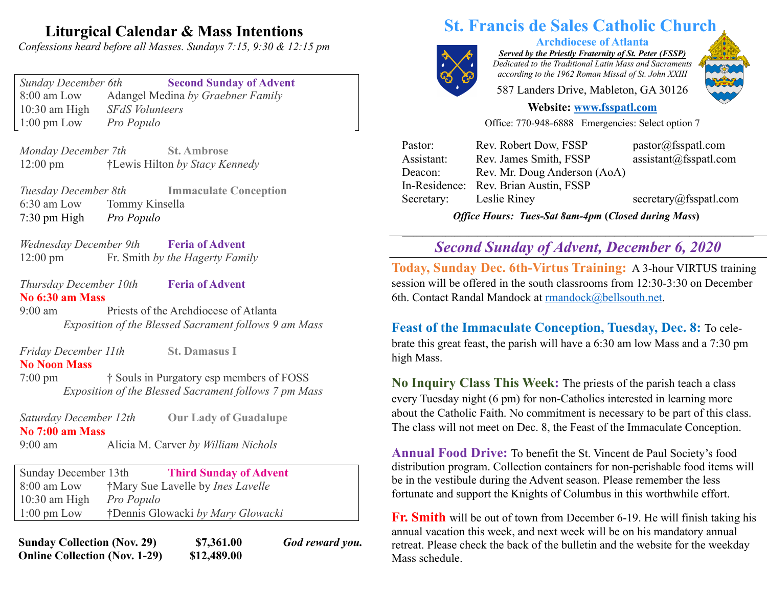## **Liturgical Calendar & Mass Intentions**

*Confessions heard before all Masses. Sundays 7:15, 9:30 & 12:15 pm*

*Sunday December 6th* **Second Sunday of Advent** 8:00 am Low Adangel Medina *by Graebner Family* 10:30 am High *SFdS Volunteers* 1:00 pm Low *Pro Populo*

*Monday December 7th* **St. Ambrose** 12:00 pm †Lewis Hilton *by Stacy Kennedy*

*Tuesday December 8th* **Immaculate Conception** 6:30 am Low Tommy Kinsella 7:30 pm High *Pro Populo*

*Wednesday December 9th* **Feria of Advent** 12:00 pm Fr. Smith *by the Hagerty Family*

*Thursday December 10th* **Feria of Advent No 6:30 am Mass**

9:00 am Priests of the Archdiocese of Atlanta *Exposition of the Blessed Sacrament follows 9 am Mass*

*Friday December 11th* **St. Damasus I**

### **No Noon Mass**

7:00 pm † Souls in Purgatory esp members of FOSS *Exposition of the Blessed Sacrament follows 7 pm Mass*

*Saturday December 12th* **Our Lady of Guadalupe No 7:00 am Mass**  9:00 am Alicia M. Carver *by William Nichols*

Sunday December 13th **Third Sunday of Advent** 8:00 am Low †Mary Sue Lavelle by *Ines Lavelle* 10:30 am High *Pro Populo* 1:00 pm Low †Dennis Glowacki *by Mary Glowacki*

**Sunday Collection (Nov. 29) \$7,361.00** *God reward you.* **Online Collection (Nov. 1-29) \$12,489.00**

# **St. Francis de Sales Catholic Church**

*Served by the Priestly Fraternity of St. Peter (FSSP) Dedicated to the Traditional Latin Mass and Sacraments*

**Archdiocese of Atlanta**

*according to the 1962 Roman Missal of St. John XXIII* 587 Landers Drive, Mableton, GA 30126



## **Website: www.fsspatl.com**

Office: 770-948-6888 Emergencies: Select option 7

| Pastor:    | Rev. Robert Dow, FSSP                 | pastor@fsspath.com                 |
|------------|---------------------------------------|------------------------------------|
| Assistant: | Rev. James Smith, FSSP                | $\text{assignment}(a)$ fsspatl.com |
| Deacon:    | Rev. Mr. Doug Anderson (AoA)          |                                    |
|            | In-Residence: Rev. Brian Austin, FSSP |                                    |
| Secretary: | Leslie Riney                          | secretary@fsspatl.com              |
|            |                                       |                                    |

*Office Hours: Tues-Sat 8am-4pm* **(***Closed during Mass***)**

## **\_\_\_\_\_\_\_\_\_\_\_\_\_\_\_\_\_\_\_\_\_\_\_\_\_\_\_\_\_\_\_\_\_\_\_\_\_\_\_\_\_\_\_\_\_\_\_\_\_\_\_\_\_\_\_\_\_\_\_\_\_\_\_\_\_\_\_\_\_\_\_\_\_\_\_\_\_\_\_\_\_\_\_\_\_\_\_\_\_\_\_\_\_\_\_\_\_\_\_\_\_\_\_\_\_\_\_\_\_\_\_\_\_\_\_\_\_\_\_\_\_** *Second Sunday of Advent, December 6, 2020* **\_\_\_\_\_\_\_\_\_\_\_\_\_\_\_\_\_\_\_\_\_\_\_\_\_\_\_\_\_\_\_\_\_\_\_\_\_\_\_\_\_\_\_\_\_\_\_\_\_\_\_\_\_\_\_ \_\_\_\_\_\_\_\_\_\_\_\_\_\_\_\_\_\_\_\_\_\_\_\_\_\_\_\_\_\_\_\_\_\_\_\_\_ \_\_\_\_\_\_\_\_\_\_\_ \_\_\_\_\_\_\_\_\_\_\_\_\_\_\_\_\_\_**

**Today, Sunday Dec. 6th-Virtus Training:** A 3-hour VIRTUS training session will be offered in the south classrooms from 12:30-3:30 on December 6th. Contact Randal Mandock at rmandock@bellsouth.net.

**Feast of the Immaculate Conception, Tuesday, Dec. 8:** To celebrate this great feast, the parish will have a 6:30 am low Mass and a 7:30 pm high Mass.

**No Inquiry Class This Week:** The priests of the parish teach a class every Tuesday night (6 pm) for non-Catholics interested in learning more about the Catholic Faith. No commitment is necessary to be part of this class. The class will not meet on Dec. 8, the Feast of the Immaculate Conception.

**Annual Food Drive:** To benefit the St. Vincent de Paul Society's food distribution program. Collection containers for non-perishable food items will be in the vestibule during the Advent season. Please remember the less fortunate and support the Knights of Columbus in this worthwhile effort.

**Fr. Smith** will be out of town from December 6-19. He will finish taking his annual vacation this week, and next week will be on his mandatory annual retreat. Please check the back of the bulletin and the website for the weekday Mass schedule.